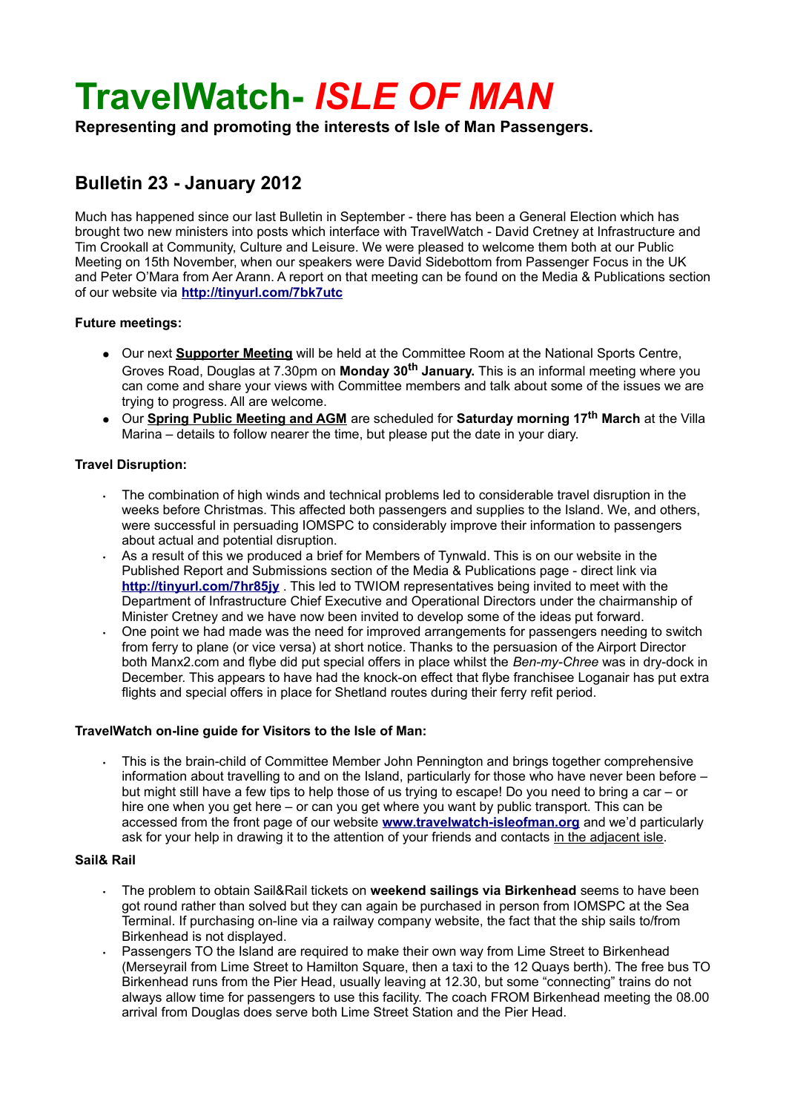# **TravelWatch-** *ISLE OF MAN*

**Representing and promoting the interests of Isle of Man Passengers.**

## **Bulletin 23 - January 2012**

Much has happened since our last Bulletin in September - there has been a General Election which has brought two new ministers into posts which interface with TravelWatch - David Cretney at Infrastructure and Tim Crookall at Community, Culture and Leisure. We were pleased to welcome them both at our Public Meeting on 15th November, when our speakers were David Sidebottom from Passenger Focus in the UK and Peter O'Mara from Aer Arann. A report on that meeting can be found on the Media & Publications section of our website via **<http://tinyurl.com/7bk7utc>**

#### **Future meetings:**

- Our next **Supporter Meeting** will be held at the Committee Room at the National Sports Centre, Groves Road, Douglas at 7.30pm on **Monday 30th January.** This is an informal meeting where you can come and share your views with Committee members and talk about some of the issues we are trying to progress. All are welcome.
- Our **Spring Public Meeting and AGM** are scheduled for **Saturday morning 17th March** at the Villa Marina – details to follow nearer the time, but please put the date in your diary.

#### **Travel Disruption:**

- The combination of high winds and technical problems led to considerable travel disruption in the weeks before Christmas. This affected both passengers and supplies to the Island. We, and others, were successful in persuading IOMSPC to considerably improve their information to passengers about actual and potential disruption.
- As a result of this we produced a brief for Members of Tynwald. This is on our website in the Published Report and Submissions section of the Media & Publications page - direct link via **<http://tinyurl.com/7hr85jy>** . This led to TWIOM representatives being invited to meet with the Department of Infrastructure Chief Executive and Operational Directors under the chairmanship of Minister Cretney and we have now been invited to develop some of the ideas put forward.
- One point we had made was the need for improved arrangements for passengers needing to switch from ferry to plane (or vice versa) at short notice. Thanks to the persuasion of the Airport Director both Manx2.com and flybe did put special offers in place whilst the *Ben-my-Chree* was in dry-dock in December. This appears to have had the knock-on effect that flybe franchisee Loganair has put extra flights and special offers in place for Shetland routes during their ferry refit period.

#### **TravelWatch on-line guide for Visitors to the Isle of Man:**

• This is the brain-child of Committee Member John Pennington and brings together comprehensive information about travelling to and on the Island, particularly for those who have never been before – but might still have a few tips to help those of us trying to escape! Do you need to bring a car – or hire one when you get here – or can you get where you want by public transport. This can be accessed from the front page of our website **[www.travelwatch-isleofman.org](http://www.travelwatch-isleofman.org/)** and we'd particularly ask for your help in drawing it to the attention of your friends and contacts in the adjacent isle.

### **Sail& Rail**

- The problem to obtain Sail&Rail tickets on **weekend sailings via Birkenhead** seems to have been got round rather than solved but they can again be purchased in person from IOMSPC at the Sea Terminal. If purchasing on-line via a railway company website, the fact that the ship sails to/from Birkenhead is not displayed.
- Passengers TO the Island are required to make their own way from Lime Street to Birkenhead (Merseyrail from Lime Street to Hamilton Square, then a taxi to the 12 Quays berth). The free bus TO Birkenhead runs from the Pier Head, usually leaving at 12.30, but some "connecting" trains do not always allow time for passengers to use this facility. The coach FROM Birkenhead meeting the 08.00 arrival from Douglas does serve both Lime Street Station and the Pier Head.